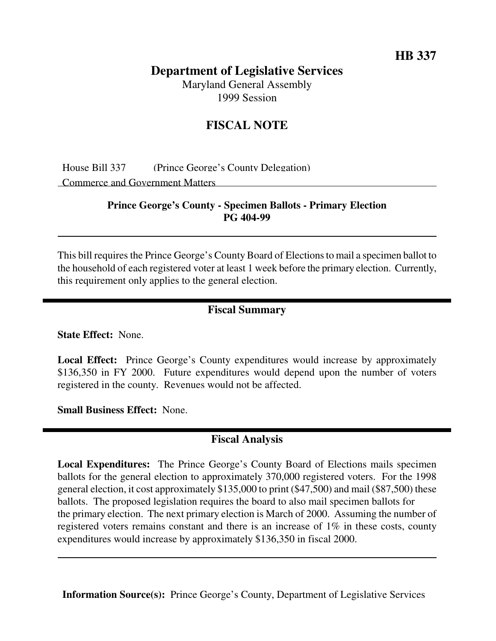**HB 337**

## **Department of Legislative Services**

Maryland General Assembly 1999 Session

# **FISCAL NOTE**

House Bill 337 (Prince George's County Delegation) Commerce and Government Matters

## **Prince George's County - Specimen Ballots - Primary Election PG 404-99**

This bill requires the Prince George's County Board of Elections to mail a specimen ballot to the household of each registered voter at least 1 week before the primary election. Currently, this requirement only applies to the general election.

### **Fiscal Summary**

**State Effect:** None.

**Local Effect:** Prince George's County expenditures would increase by approximately \$136,350 in FY 2000. Future expenditures would depend upon the number of voters registered in the county. Revenues would not be affected.

**Small Business Effect:** None.

### **Fiscal Analysis**

**Local Expenditures:** The Prince George's County Board of Elections mails specimen ballots for the general election to approximately 370,000 registered voters. For the 1998 general election, it cost approximately \$135,000 to print (\$47,500) and mail (\$87,500) these ballots. The proposed legislation requires the board to also mail specimen ballots for the primary election. The next primary election is March of 2000. Assuming the number of registered voters remains constant and there is an increase of 1% in these costs, county expenditures would increase by approximately \$136,350 in fiscal 2000.

**Information Source(s):** Prince George's County, Department of Legislative Services